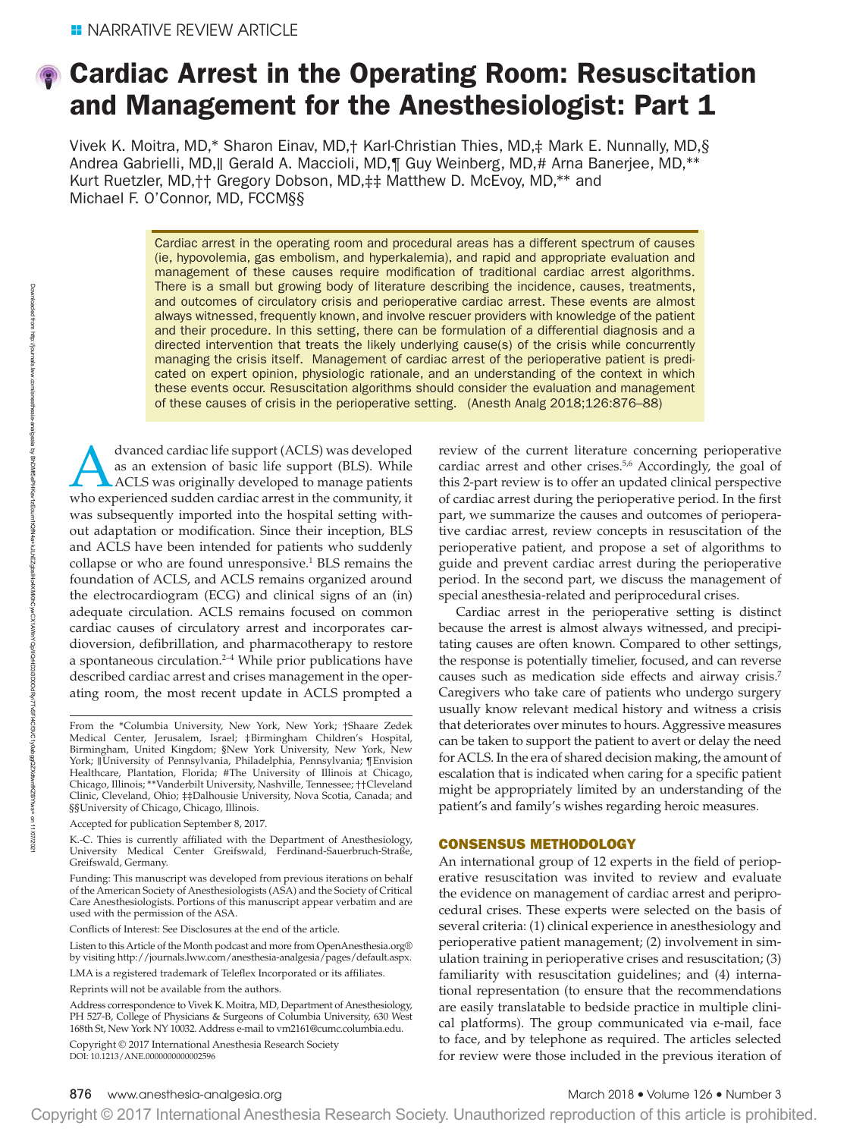# **Cardiac Arrest in the Operating Room: Resuscitation** and Management for the Anesthesiologist: Part 1

Vivek K. Moitra, MD,\* Sharon Einav, MD,† Karl-Christian Thies, MD,‡ Mark E. Nunnally, MD,§ Andrea Gabrielli, MD,∥ Gerald A. Maccioli, MD,¶ Guy Weinberg, MD,# Arna Banerjee, MD,\*\* Kurt Ruetzler, MD,†† Gregory Dobson, MD,‡‡ Matthew D. McEvoy, MD,\*\* and Michael F. O'Connor, MD, FCCM§§

> Cardiac arrest in the operating room and procedural areas has a different spectrum of causes (ie, hypovolemia, gas embolism, and hyperkalemia), and rapid and appropriate evaluation and management of these causes require modification of traditional cardiac arrest algorithms. There is a small but growing body of literature describing the incidence, causes, treatments, and outcomes of circulatory crisis and perioperative cardiac arrest. These events are almost always witnessed, frequently known, and involve rescuer providers with knowledge of the patient and their procedure. In this setting, there can be formulation of a differential diagnosis and a directed intervention that treats the likely underlying cause(s) of the crisis while concurrently managing the crisis itself. Management of cardiac arrest of the perioperative patient is predicated on expert opinion, physiologic rationale, and an understanding of the context in which these events occur. Resuscitation algorithms should consider the evaluation and management of these causes of crisis in the perioperative setting. (Anesth Analg 2018;126:876–88)

dvanced cardiac life support (ACLS) was developed<br>as an extension of basic life support (BLS). While<br>ACLS was originally developed to manage patients<br>who experienced sudden cardiac arrest in the community it as an extension of basic life support (BLS). While ACLS was originally developed to manage patients who experienced sudden cardiac arrest in the community, it was subsequently imported into the hospital setting without adaptation or modification. Since their inception, BLS and ACLS have been intended for patients who suddenly collapse or who are found unresponsive.1 BLS remains the foundation of ACLS, and ACLS remains organized around the electrocardiogram (ECG) and clinical signs of an (in) adequate circulation. ACLS remains focused on common cardiac causes of circulatory arrest and incorporates cardioversion, defibrillation, and pharmacotherapy to restore a spontaneous circulation.<sup>2-4</sup> While prior publications have described cardiac arrest and crises management in the operating room, the most recent update in ACLS prompted a

- K.-C. Thies is currently affiliated with the Department of Anesthesiology, University Medical Center Greifswald, Ferdinand-Sauerbruch-Straße, Greifswald, Germany.
- Funding: This manuscript was developed from previous iterations on behalf of the American Society of Anesthesiologists (ASA) and the Society of Critical Care Anesthesiologists. Portions of this manuscript appear verbatim and are used with the permission of the ASA.

Conflicts of Interest: See Disclosures at the end of the article.

Listen to this Article of the Month podcast and more from OpenAnesthesia.org® by visiting [http://journals.lww.com/anesthesia-analgesia/pages/default.aspx.](http://journals.lww.com/anesthesia-analgesia/pages/default.aspx)

Reprints will not be available from the authors.

DOI: 10.1213/ANE.0000000000002596

review of the current literature concerning perioperative cardiac arrest and other crises.<sup>5,6</sup> Accordingly, the goal of this 2-part review is to offer an updated clinical perspective of cardiac arrest during the perioperative period. In the first part, we summarize the causes and outcomes of perioperative cardiac arrest, review concepts in resuscitation of the perioperative patient, and propose a set of algorithms to guide and prevent cardiac arrest during the perioperative period. In the second part, we discuss the management of special anesthesia-related and periprocedural crises.

Cardiac arrest in the perioperative setting is distinct because the arrest is almost always witnessed, and precipitating causes are often known. Compared to other settings, the response is potentially timelier, focused, and can reverse causes such as medication side effects and airway crisis.7 Caregivers who take care of patients who undergo surgery usually know relevant medical history and witness a crisis that deteriorates over minutes to hours. Aggressive measures can be taken to support the patient to avert or delay the need for ACLS. In the era of shared decision making, the amount of escalation that is indicated when caring for a specific patient might be appropriately limited by an understanding of the patient's and family's wishes regarding heroic measures.

## CONSENSUS METHODOLOGY

An international group of 12 experts in the field of perioperative resuscitation was invited to review and evaluate the evidence on management of cardiac arrest and periprocedural crises. These experts were selected on the basis of several criteria: (1) clinical experience in anesthesiology and perioperative patient management; (2) involvement in simulation training in perioperative crises and resuscitation; (3) familiarity with resuscitation guidelines; and (4) international representation (to ensure that the recommendations are easily translatable to bedside practice in multiple clinical platforms). The group communicated via e-mail, face to face, and by telephone as required. The articles selected for review were those included in the previous iteration of

876 www.anesthesia-analgesia.org March 2018 • Volume 126 • Number 3

From the \*Columbia University, New York, New York; †Shaare Zedek Medical Center, Jerusalem, Israel; ‡Birmingham Children's Hospital, Birmingham, United Kingdom; §New York University, New York, New York; ∥University of Pennsylvania, Philadelphia, Pennsylvania; ¶Envision Healthcare, Plantation, Florida; #The University of Illinois at Chicago, Chicago, Illinois; \*\*Vanderbilt University, Nashville, Tennessee; ††Cleveland Clinic, Cleveland, Ohio; ‡‡Dalhousie University, Nova Scotia, Canada; and §§University of Chicago, Chicago, Illinois.

Accepted for publication September 8, 2017.

LMA is a registered trademark of Teleflex Incorporated or its affiliates.

Address correspondence to Vivek K. Moitra, MD, Department of Anesthesiology, PH 527-B, College of Physicians & Surgeons of Columbia University, 630 West 168th St, New York NY 10032. Address e-mail to [vm2161@cumc.columbia.edu](mailto:vm2161@cumc.columbia.edu). Copyright © 2017 International Anesthesia Research Society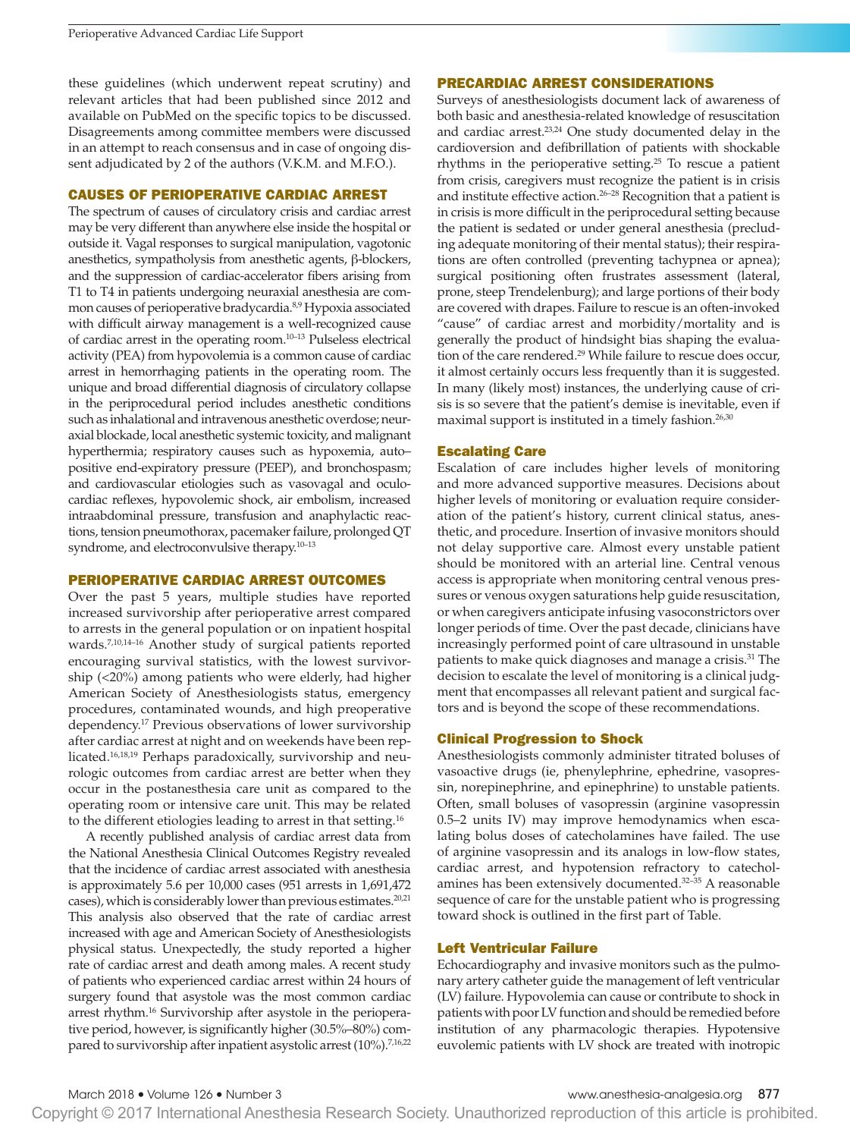these guidelines (which underwent repeat scrutiny) and relevant articles that had been published since 2012 and available on PubMed on the specific topics to be discussed. Disagreements among committee members were discussed in an attempt to reach consensus and in case of ongoing dissent adjudicated by 2 of the authors (V.K.M. and M.F.O.).

## CAUSES OF PERIOPERATIVE CARDIAC ARREST

The spectrum of causes of circulatory crisis and cardiac arrest may be very different than anywhere else inside the hospital or outside it. Vagal responses to surgical manipulation, vagotonic anesthetics, sympatholysis from anesthetic agents, β-blockers, and the suppression of cardiac-accelerator fibers arising from T1 to T4 in patients undergoing neuraxial anesthesia are common causes of perioperative bradycardia.8,9 Hypoxia associated with difficult airway management is a well-recognized cause of cardiac arrest in the operating room.10–13 Pulseless electrical activity (PEA) from hypovolemia is a common cause of cardiac arrest in hemorrhaging patients in the operating room. The unique and broad differential diagnosis of circulatory collapse in the periprocedural period includes anesthetic conditions such as inhalational and intravenous anesthetic overdose; neuraxial blockade, local anesthetic systemic toxicity, and malignant hyperthermia; respiratory causes such as hypoxemia, auto– positive end-expiratory pressure (PEEP), and bronchospasm; and cardiovascular etiologies such as vasovagal and oculocardiac reflexes, hypovolemic shock, air embolism, increased intraabdominal pressure, transfusion and anaphylactic reactions, tension pneumothorax, pacemaker failure, prolonged QT syndrome, and electroconvulsive therapy.<sup>10-13</sup>

## PERIOPERATIVE CARDIAC ARREST OUTCOMES

Over the past 5 years, multiple studies have reported increased survivorship after perioperative arrest compared to arrests in the general population or on inpatient hospital wards.7,10,14–16 Another study of surgical patients reported encouraging survival statistics, with the lowest survivorship (<20%) among patients who were elderly, had higher American Society of Anesthesiologists status, emergency procedures, contaminated wounds, and high preoperative dependency.17 Previous observations of lower survivorship after cardiac arrest at night and on weekends have been replicated.16,18,19 Perhaps paradoxically, survivorship and neurologic outcomes from cardiac arrest are better when they occur in the postanesthesia care unit as compared to the operating room or intensive care unit. This may be related to the different etiologies leading to arrest in that setting.16

A recently published analysis of cardiac arrest data from the National Anesthesia Clinical Outcomes Registry revealed that the incidence of cardiac arrest associated with anesthesia is approximately 5.6 per 10,000 cases (951 arrests in 1,691,472 cases), which is considerably lower than previous estimates.<sup>20,21</sup> This analysis also observed that the rate of cardiac arrest increased with age and American Society of Anesthesiologists physical status. Unexpectedly, the study reported a higher rate of cardiac arrest and death among males. A recent study of patients who experienced cardiac arrest within 24 hours of surgery found that asystole was the most common cardiac arrest rhythm.16 Survivorship after asystole in the perioperative period, however, is significantly higher (30.5%–80%) compared to survivorship after inpatient asystolic arrest (10%).<sup>7,16,22</sup>

## PRECARDIAC ARREST CONSIDERATIONS

Surveys of anesthesiologists document lack of awareness of both basic and anesthesia-related knowledge of resuscitation and cardiac arrest.23,24 One study documented delay in the cardioversion and defibrillation of patients with shockable rhythms in the perioperative setting.25 To rescue a patient from crisis, caregivers must recognize the patient is in crisis and institute effective action.<sup>26-28</sup> Recognition that a patient is in crisis is more difficult in the periprocedural setting because the patient is sedated or under general anesthesia (precluding adequate monitoring of their mental status); their respirations are often controlled (preventing tachypnea or apnea); surgical positioning often frustrates assessment (lateral, prone, steep Trendelenburg); and large portions of their body are covered with drapes. Failure to rescue is an often-invoked "cause" of cardiac arrest and morbidity/mortality and is generally the product of hindsight bias shaping the evaluation of the care rendered.<sup>29</sup> While failure to rescue does occur, it almost certainly occurs less frequently than it is suggested. In many (likely most) instances, the underlying cause of crisis is so severe that the patient's demise is inevitable, even if maximal support is instituted in a timely fashion.26,30

## Escalating Care

Escalation of care includes higher levels of monitoring and more advanced supportive measures. Decisions about higher levels of monitoring or evaluation require consideration of the patient's history, current clinical status, anesthetic, and procedure. Insertion of invasive monitors should not delay supportive care. Almost every unstable patient should be monitored with an arterial line. Central venous access is appropriate when monitoring central venous pressures or venous oxygen saturations help guide resuscitation, or when caregivers anticipate infusing vasoconstrictors over longer periods of time. Over the past decade, clinicians have increasingly performed point of care ultrasound in unstable patients to make quick diagnoses and manage a crisis.31 The decision to escalate the level of monitoring is a clinical judgment that encompasses all relevant patient and surgical factors and is beyond the scope of these recommendations.

## Clinical Progression to Shock

Anesthesiologists commonly administer titrated boluses of vasoactive drugs (ie, phenylephrine, ephedrine, vasopressin, norepinephrine, and epinephrine) to unstable patients. Often, small boluses of vasopressin (arginine vasopressin 0.5–2 units IV) may improve hemodynamics when escalating bolus doses of catecholamines have failed. The use of arginine vasopressin and its analogs in low-flow states, cardiac arrest, and hypotension refractory to catecholamines has been extensively documented.32–35 A reasonable sequence of care for the unstable patient who is progressing toward shock is outlined in the first part of Table.

## Left Ventricular Failure

Echocardiography and invasive monitors such as the pulmonary artery catheter guide the management of left ventricular (LV) failure. Hypovolemia can cause or contribute to shock in patients with poor LV function and should be remedied before institution of any pharmacologic therapies. Hypotensive euvolemic patients with LV shock are treated with inotropic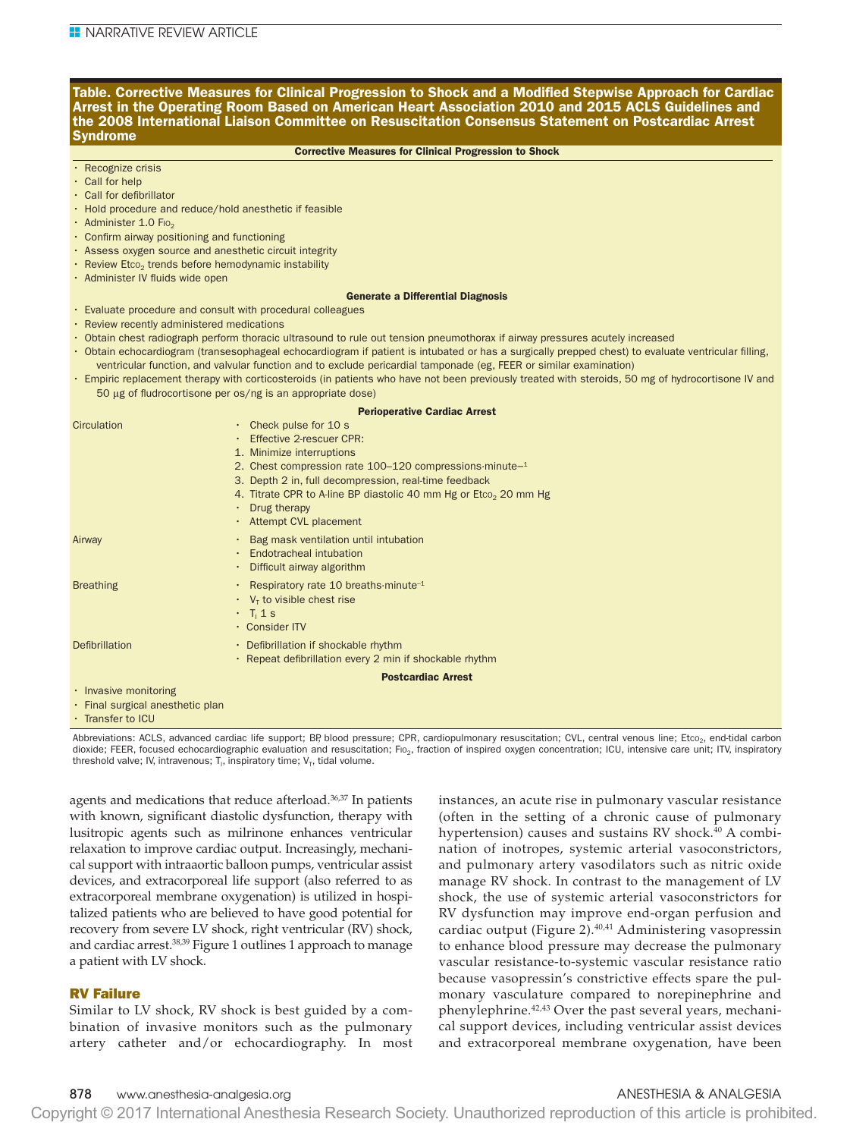Table. Corrective Measures for Clinical Progression to Shock and a Modified Stepwise Approach for Cardiac Arrest in the Operating Room Based on American Heart Association 2010 and 2015 ACLS Guidelines and the 2008 International Liaison Committee on Resuscitation Consensus Statement on Postcardiac Arrest Syndrome Corrective Measures for Clinical Progression to Shock • Recognize crisis • Call for help • Call for defibrillator • Hold procedure and reduce/hold anesthetic if feasible  $\cdot$  Administer 1.0 Fio<sub>2</sub> • Confirm airway positioning and functioning • Assess oxygen source and anesthetic circuit integrity • Review Etco<sub>2</sub> trends before hemodynamic instability • Administer IV fluids wide open Generate a Differential Diagnosis • Evaluate procedure and consult with procedural colleagues • Review recently administered medications • Obtain chest radiograph perform thoracic ultrasound to rule out tension pneumothorax if airway pressures acutely increased • Obtain echocardiogram (transesophageal echocardiogram if patient is intubated or has a surgically prepped chest) to evaluate ventricular filling, ventricular function, and valvular function and to exclude pericardial tamponade (eg, FEER or similar examination) • Empiric replacement therapy with corticosteroids (in patients who have not been previously treated with steroids, 50 mg of hydrocortisone IV and 50 μg of fludrocortisone per os/ng is an appropriate dose) Perioperative Cardiac Arrest Circulation **•** Check pulse for 10 s • Effective 2-rescuer CPR: 1. Minimize interruptions 2. Chest compression rate 100–120 compressions∙minute−1 3. Depth 2 in, full decompression, real-time feedback 4. Titrate CPR to A-line BP diastolic 40 mm Hg or  $Eto<sub>2</sub>$  20 mm Hg • Drug therapy • Attempt CVL placement Airway **Airway 1980 • Bag mask ventilation until intubation** • Endotracheal intubation • Difficult airway algorithm Breathing **• Respiratory rate 10 breaths∙minute**<sup>-1</sup>  $\cdot$  V<sub>T</sub> to visible chest rise  $\cdot$  T<sub>i</sub> 1 s • Consider ITV Defibrillation • Defibrillation if shockable rhythm • Repeat defibrillation every 2 min if shockable rhythm Postcardiac Arrest • Invasive monitoring • Final surgical anesthetic plan • Transfer to ICU

Abbreviations: ACLS, advanced cardiac life support; BP, blood pressure; CPR, cardiopulmonary resuscitation; CVL, central venous line; Etco2, end-tidal carbon dioxide; FEER, focused echocardiographic evaluation and resuscitation; Fio<sub>2</sub>, fraction of inspired oxygen concentration; ICU, intensive care unit; ITV, inspiratory threshold valve; IV, intravenous;  $T_{1}$ , inspiratory time;  $V_{\tau}$ , tidal volume.

agents and medications that reduce afterload.36,37 In patients with known, significant diastolic dysfunction, therapy with lusitropic agents such as milrinone enhances ventricular relaxation to improve cardiac output. Increasingly, mechanical support with intraaortic balloon pumps, ventricular assist devices, and extracorporeal life support (also referred to as extracorporeal membrane oxygenation) is utilized in hospitalized patients who are believed to have good potential for recovery from severe LV shock, right ventricular (RV) shock, and cardiac arrest.<sup>38,39</sup> Figure 1 outlines 1 approach to manage a patient with LV shock.

## RV Failure

Similar to LV shock, RV shock is best guided by a combination of invasive monitors such as the pulmonary artery catheter and/or echocardiography. In most instances, an acute rise in pulmonary vascular resistance (often in the setting of a chronic cause of pulmonary hypertension) causes and sustains RV shock.<sup>40</sup> A combination of inotropes, systemic arterial vasoconstrictors, and pulmonary artery vasodilators such as nitric oxide manage RV shock. In contrast to the management of LV shock, the use of systemic arterial vasoconstrictors for RV dysfunction may improve end-organ perfusion and cardiac output (Figure 2).<sup>40,41</sup> Administering vasopressin to enhance blood pressure may decrease the pulmonary vascular resistance-to-systemic vascular resistance ratio because vasopressin's constrictive effects spare the pulmonary vasculature compared to norepinephrine and phenylephrine.<sup>42,43</sup> Over the past several years, mechanical support devices, including ventricular assist devices and extracorporeal membrane oxygenation, have been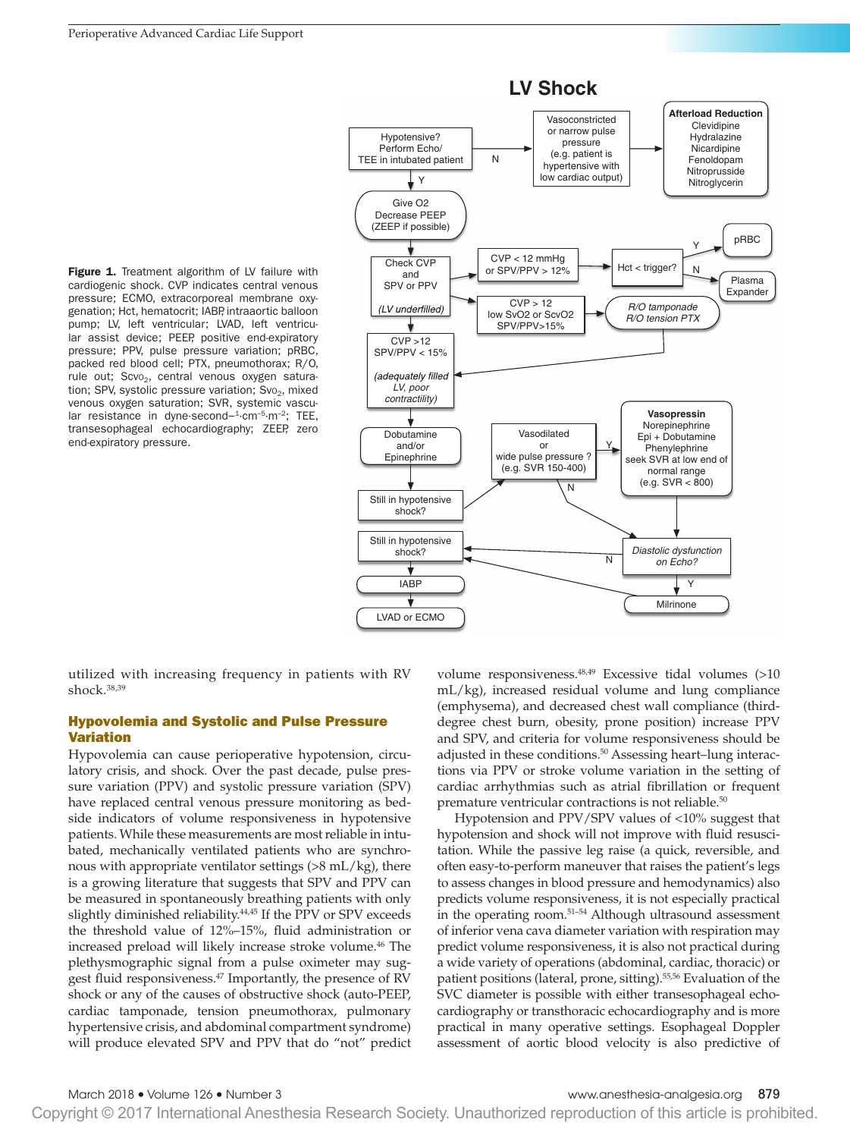Figure 1. Treatment algorithm of LV failure with cardiogenic shock. CVP indicates central venous pressure; ECMO, extracorporeal membrane oxygenation; Hct, hematocrit; IABP, intraaortic balloon pump; LV, left ventricular; LVAD, left ventricular assist device; PEEP, positive end-expiratory pressure; PPV, pulse pressure variation; pRBC, packed red blood cell; PTX, pneumothorax; R/O, rule out; Scvo<sub>2</sub>, central venous oxygen saturation; SPV, systolic pressure variation;  $Svo<sub>2</sub>$ , mixed venous oxygen saturation; SVR, systemic vascular resistance in dyne·second−1·cm–5·m–2; TEE, transesophageal echocardiography; ZEEP, zero end-expiratory pressure.



utilized with increasing frequency in patients with RV shock.38,39

## Hypovolemia and Systolic and Pulse Pressure Variation

Hypovolemia can cause perioperative hypotension, circulatory crisis, and shock. Over the past decade, pulse pressure variation (PPV) and systolic pressure variation (SPV) have replaced central venous pressure monitoring as bedside indicators of volume responsiveness in hypotensive patients. While these measurements are most reliable in intubated, mechanically ventilated patients who are synchronous with appropriate ventilator settings (>8 mL/kg), there is a growing literature that suggests that SPV and PPV can be measured in spontaneously breathing patients with only slightly diminished reliability.<sup>44,45</sup> If the PPV or SPV exceeds the threshold value of 12%–15%, fluid administration or increased preload will likely increase stroke volume.<sup>46</sup> The plethysmographic signal from a pulse oximeter may suggest fluid responsiveness.<sup>47</sup> Importantly, the presence of RV shock or any of the causes of obstructive shock (auto-PEEP, cardiac tamponade, tension pneumothorax, pulmonary hypertensive crisis, and abdominal compartment syndrome) will produce elevated SPV and PPV that do "not" predict

volume responsiveness.48,49 Excessive tidal volumes (>10 mL/kg), increased residual volume and lung compliance (emphysema), and decreased chest wall compliance (thirddegree chest burn, obesity, prone position) increase PPV and SPV, and criteria for volume responsiveness should be adjusted in these conditions.50 Assessing heart–lung interactions via PPV or stroke volume variation in the setting of cardiac arrhythmias such as atrial fibrillation or frequent premature ventricular contractions is not reliable.<sup>50</sup>

Hypotension and PPV/SPV values of <10% suggest that hypotension and shock will not improve with fluid resuscitation. While the passive leg raise (a quick, reversible, and often easy-to-perform maneuver that raises the patient's legs to assess changes in blood pressure and hemodynamics) also predicts volume responsiveness, it is not especially practical in the operating room.51–54 Although ultrasound assessment of inferior vena cava diameter variation with respiration may predict volume responsiveness, it is also not practical during a wide variety of operations (abdominal, cardiac, thoracic) or patient positions (lateral, prone, sitting).<sup>55,56</sup> Evaluation of the SVC diameter is possible with either transesophageal echocardiography or transthoracic echocardiography and is more practical in many operative settings. Esophageal Doppler assessment of aortic blood velocity is also predictive of

## March 2018 • Volume 126 • Number 3 www.anesthesia-analgesia.org 879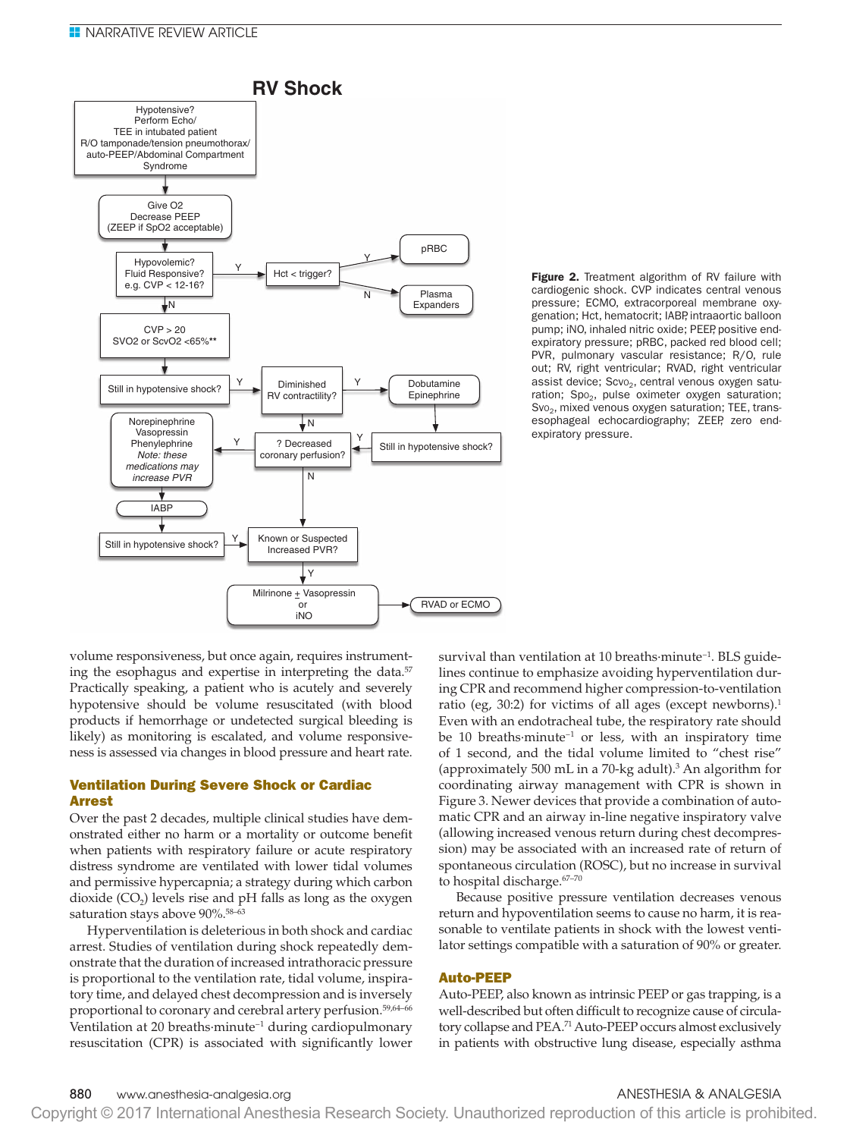

Figure 2. Treatment algorithm of RV failure with cardiogenic shock. CVP indicates central venous pressure; ECMO, extracorporeal membrane oxygenation; Hct, hematocrit; IABP, intraaortic balloon pump; iNO, inhaled nitric oxide; PEEP, positive endexpiratory pressure; pRBC, packed red blood cell; PVR, pulmonary vascular resistance; R/O, rule out; RV, right ventricular; RVAD, right ventricular assist device; Scvo<sub>2</sub>, central venous oxygen saturation;  $Spo<sub>2</sub>$ , pulse oximeter oxygen saturation;  $Svo<sub>2</sub>$ , mixed venous oxygen saturation; TEE, transesophageal echocardiography; ZEEP, zero endexpiratory pressure.

volume responsiveness, but once again, requires instrumenting the esophagus and expertise in interpreting the data.<sup>57</sup> Practically speaking, a patient who is acutely and severely hypotensive should be volume resuscitated (with blood products if hemorrhage or undetected surgical bleeding is likely) as monitoring is escalated, and volume responsiveness is assessed via changes in blood pressure and heart rate.

## Ventilation During Severe Shock or Cardiac Arrest

Over the past 2 decades, multiple clinical studies have demonstrated either no harm or a mortality or outcome benefit when patients with respiratory failure or acute respiratory distress syndrome are ventilated with lower tidal volumes and permissive hypercapnia; a strategy during which carbon dioxide  $(CO<sub>2</sub>)$  levels rise and pH falls as long as the oxygen saturation stays above 90%.<sup>58-63</sup>

Hyperventilation is deleterious in both shock and cardiac arrest. Studies of ventilation during shock repeatedly demonstrate that the duration of increased intrathoracic pressure is proportional to the ventilation rate, tidal volume, inspiratory time, and delayed chest decompression and is inversely proportional to coronary and cerebral artery perfusion.<sup>59,64-66</sup> Ventilation at 20 breaths·minute−1 during cardiopulmonary resuscitation (CPR) is associated with significantly lower

survival than ventilation at 10 breaths·minute−1 . BLS guidelines continue to emphasize avoiding hyperventilation during CPR and recommend higher compression-to-ventilation ratio (eg, 30:2) for victims of all ages (except newborns).<sup>1</sup> Even with an endotracheal tube, the respiratory rate should be 10 breaths·minute<sup>-1</sup> or less, with an inspiratory time of 1 second, and the tidal volume limited to "chest rise" (approximately 500 mL in a 70-kg adult).3 An algorithm for coordinating airway management with CPR is shown in Figure 3. Newer devices that provide a combination of automatic CPR and an airway in-line negative inspiratory valve (allowing increased venous return during chest decompression) may be associated with an increased rate of return of spontaneous circulation (ROSC), but no increase in survival to hospital discharge.67–70

Because positive pressure ventilation decreases venous return and hypoventilation seems to cause no harm, it is reasonable to ventilate patients in shock with the lowest ventilator settings compatible with a saturation of 90% or greater.

## Auto-PEEP

Auto-PEEP, also known as intrinsic PEEP or gas trapping, is a well-described but often difficult to recognize cause of circulatory collapse and PEA.71 Auto-PEEP occurs almost exclusively in patients with obstructive lung disease, especially asthma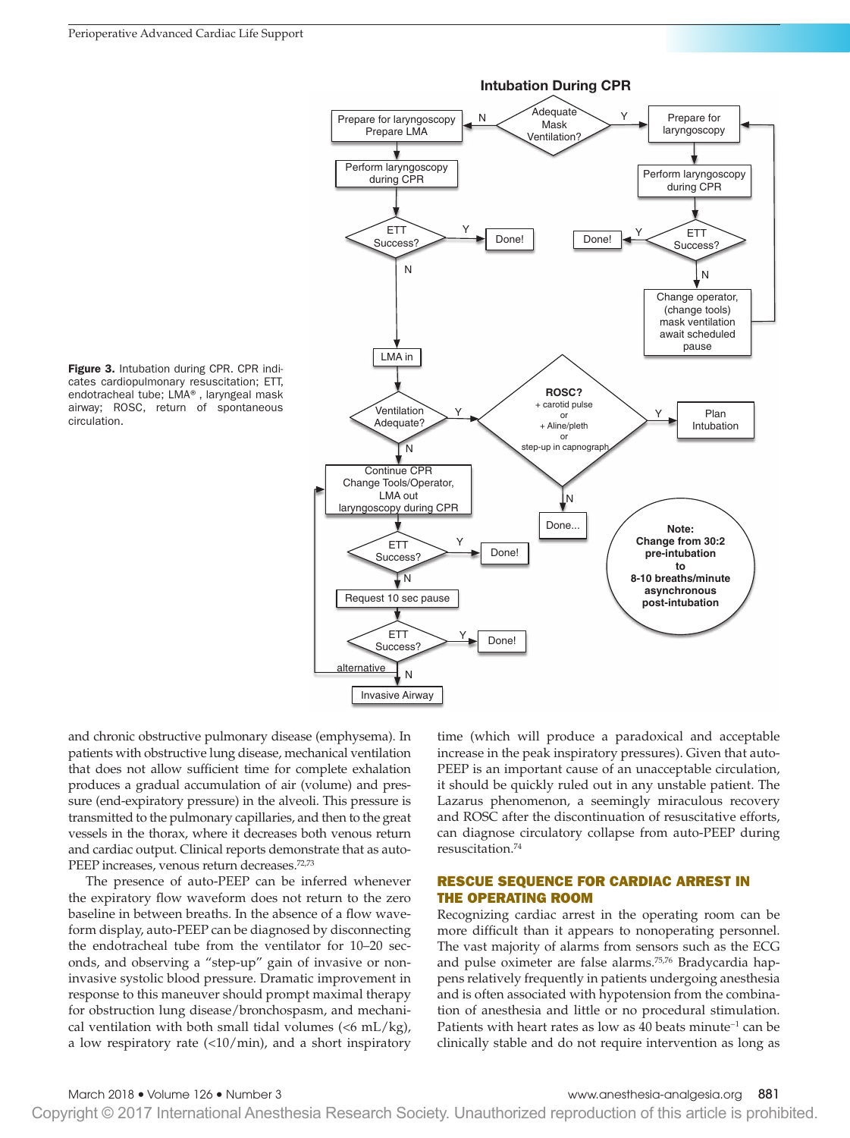



and chronic obstructive pulmonary disease (emphysema). In patients with obstructive lung disease, mechanical ventilation that does not allow sufficient time for complete exhalation produces a gradual accumulation of air (volume) and pressure (end-expiratory pressure) in the alveoli. This pressure is transmitted to the pulmonary capillaries, and then to the great vessels in the thorax, where it decreases both venous return and cardiac output. Clinical reports demonstrate that as auto-PEEP increases, venous return decreases.<sup>72,73</sup>

The presence of auto-PEEP can be inferred whenever the expiratory flow waveform does not return to the zero baseline in between breaths. In the absence of a flow waveform display, auto-PEEP can be diagnosed by disconnecting the endotracheal tube from the ventilator for 10–20 seconds, and observing a "step-up" gain of invasive or noninvasive systolic blood pressure. Dramatic improvement in response to this maneuver should prompt maximal therapy for obstruction lung disease/bronchospasm, and mechanical ventilation with both small tidal volumes  $( $6 \text{ mL/kg}$ ),$ a low respiratory rate (<10/min), and a short inspiratory

time (which will produce a paradoxical and acceptable increase in the peak inspiratory pressures). Given that auto-PEEP is an important cause of an unacceptable circulation, it should be quickly ruled out in any unstable patient. The Lazarus phenomenon, a seemingly miraculous recovery and ROSC after the discontinuation of resuscitative efforts, can diagnose circulatory collapse from auto-PEEP during resuscitation.74

## RESCUE SEQUENCE FOR CARDIAC ARREST IN THE OPERATING ROOM

Recognizing cardiac arrest in the operating room can be more difficult than it appears to nonoperating personnel. The vast majority of alarms from sensors such as the ECG and pulse oximeter are false alarms.75,76 Bradycardia happens relatively frequently in patients undergoing anesthesia and is often associated with hypotension from the combination of anesthesia and little or no procedural stimulation. Patients with heart rates as low as 40 beats minute−1 can be clinically stable and do not require intervention as long as

## Copyright © 2017 International Anesthesia Research Society. Unauthorized reproduction of this article is prohibited. March 2018 • Volume 126 • Number 3 www.anesthesia-analgesia.org 881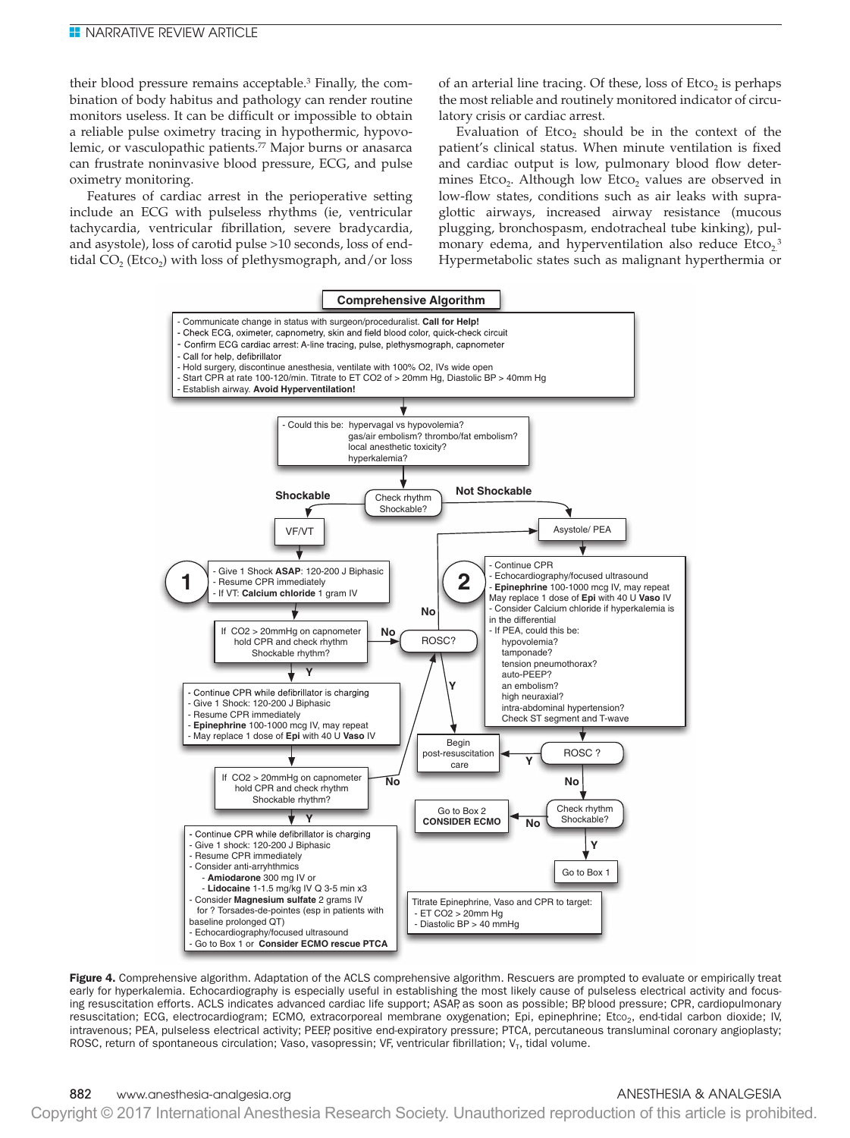their blood pressure remains acceptable.3 Finally, the combination of body habitus and pathology can render routine monitors useless. It can be difficult or impossible to obtain a reliable pulse oximetry tracing in hypothermic, hypovolemic, or vasculopathic patients.77 Major burns or anasarca can frustrate noninvasive blood pressure, ECG, and pulse oximetry monitoring.

Features of cardiac arrest in the perioperative setting include an ECG with pulseless rhythms (ie, ventricular tachycardia, ventricular fibrillation, severe bradycardia, and asystole), loss of carotid pulse >10 seconds, loss of endtidal  $CO<sub>2</sub>$  (Etco<sub>2</sub>) with loss of plethysmograph, and/or loss of an arterial line tracing. Of these, loss of  $E<sub>1</sub>$  is perhaps the most reliable and routinely monitored indicator of circulatory crisis or cardiac arrest.

Evaluation of  $E_{1}$  should be in the context of the patient's clinical status. When minute ventilation is fixed and cardiac output is low, pulmonary blood flow determines Etco<sub>2</sub>. Although low Etco<sub>2</sub> values are observed in low-flow states, conditions such as air leaks with supraglottic airways, increased airway resistance (mucous plugging, bronchospasm, endotracheal tube kinking), pulmonary edema, and hyperventilation also reduce  $Etco<sub>2</sub>$ <sup>3</sup> Hypermetabolic states such as malignant hyperthermia or



Figure 4. Comprehensive algorithm. Adaptation of the ACLS comprehensive algorithm. Rescuers are prompted to evaluate or empirically treat early for hyperkalemia. Echocardiography is especially useful in establishing the most likely cause of pulseless electrical activity and focusing resuscitation efforts. ACLS indicates advanced cardiac life support; ASAP, as soon as possible; BP, blood pressure; CPR, cardiopulmonary resuscitation; ECG, electrocardiogram; ECMO, extracorporeal membrane oxygenation; Epi, epinephrine; Etco<sub>2</sub>, end-tidal carbon dioxide; IV, intravenous; PEA, pulseless electrical activity; PEEP, positive end-expiratory pressure; PTCA, percutaneous transluminal coronary angioplasty; ROSC, return of spontaneous circulation; Vaso, vasopressin; VF, ventricular fibrillation; V<sub>T</sub>, tidal volume.

## Copyright © 2017 International Anesthesia Research Society. Unauthorized reproduction of this article is prohibited. 882 www.anesthesia-analgesia.org ANESTHESIA & ANALGESIA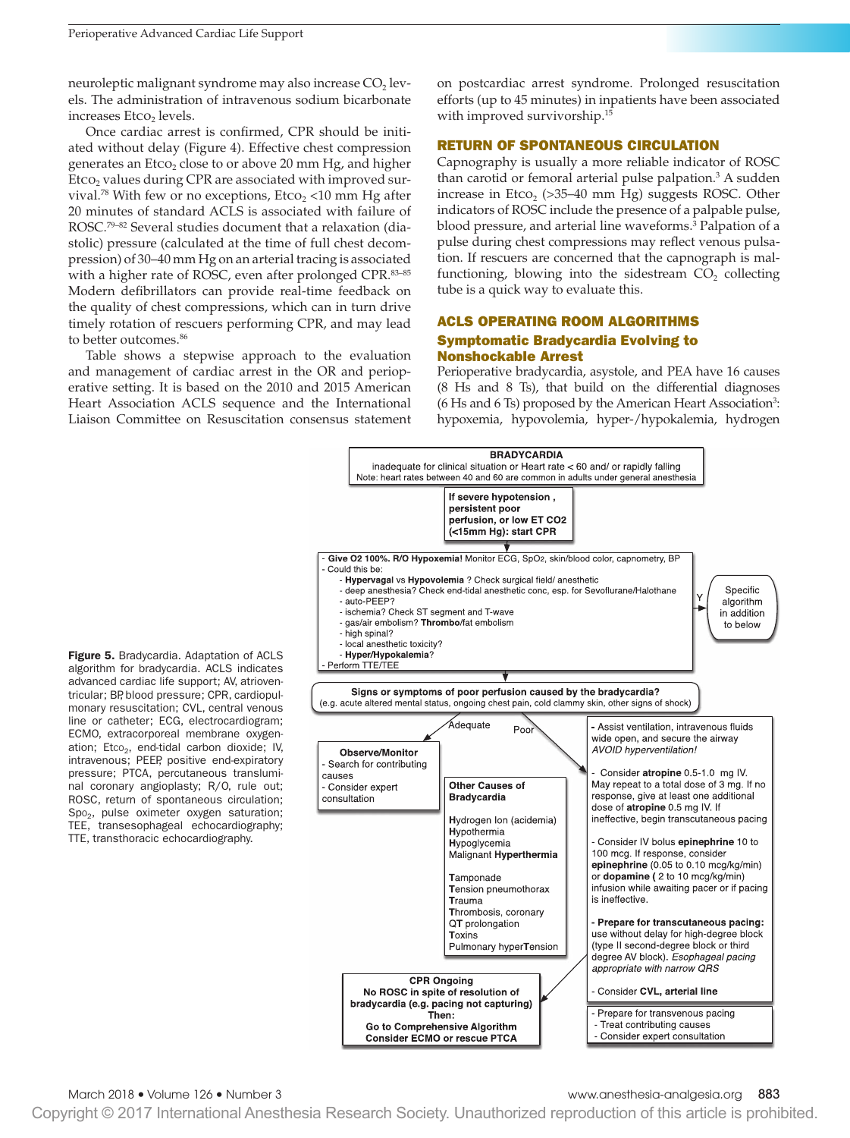neuroleptic malignant syndrome may also increase  $CO<sub>2</sub>$  levels. The administration of intravenous sodium bicarbonate increases Etco<sub>2</sub> levels.

Once cardiac arrest is confirmed, CPR should be initiated without delay (Figure 4). Effective chest compression generates an  $E_{1}$  close to or above 20 mm Hg, and higher  $E_{\text{tco}_2}$  values during CPR are associated with improved survival.<sup>78</sup> With few or no exceptions,  $E_{10}$  < 10 mm Hg after 20 minutes of standard ACLS is associated with failure of ROSC.79–82 Several studies document that a relaxation (diastolic) pressure (calculated at the time of full chest decompression) of 30–40 mm Hg on an arterial tracing is associated with a higher rate of ROSC, even after prolonged CPR.83–85 Modern defibrillators can provide real-time feedback on the quality of chest compressions, which can in turn drive timely rotation of rescuers performing CPR, and may lead to better outcomes.<sup>86</sup>

Table shows a stepwise approach to the evaluation and management of cardiac arrest in the OR and perioperative setting. It is based on the 2010 and 2015 American Heart Association ACLS sequence and the International Liaison Committee on Resuscitation consensus statement

on postcardiac arrest syndrome. Prolonged resuscitation efforts (up to 45 minutes) in inpatients have been associated with improved survivorship.15

## RETURN OF SPONTANEOUS CIRCULATION

Capnography is usually a more reliable indicator of ROSC than carotid or femoral arterial pulse palpation.<sup>3</sup> A sudden increase in  $E_{102}$  (>35–40 mm Hg) suggests ROSC. Other indicators of ROSC include the presence of a palpable pulse, blood pressure, and arterial line waveforms.<sup>3</sup> Palpation of a pulse during chest compressions may reflect venous pulsation. If rescuers are concerned that the capnograph is malfunctioning, blowing into the sidestream  $CO<sub>2</sub>$  collecting tube is a quick way to evaluate this.

## ACLS OPERATING ROOM ALGORITHMS Symptomatic Bradycardia Evolving to Nonshockable Arrest

Perioperative bradycardia, asystole, and PEA have 16 causes (8 Hs and 8 Ts), that build on the differential diagnoses (6 Hs and 6 Ts) proposed by the American Heart Association3 : hypoxemia, hypovolemia, hyper-/hypokalemia, hydrogen



Figure 5. Bradycardia. Adaptation of ACLS algorithm for bradycardia. ACLS indicates advanced cardiac life support; AV, atrioventricular; BP, blood pressure; CPR, cardiopulmonary resuscitation; CVL, central venous line or catheter; ECG, electrocardiogram; ECMO, extracorporeal membrane oxygenation; Etco<sub>2</sub>, end-tidal carbon dioxide; IV, intravenous; PEEP, positive end-expiratory pressure; PTCA, percutaneous transluminal coronary angioplasty; R/O, rule out; ROSC, return of spontaneous circulation;  $Spo<sub>2</sub>$ , pulse oximeter oxygen saturation; TEE, transesophageal echocardiography; TTE, transthoracic echocardiography.

March 2018 • Volume 126 • Number 3 www.anesthesia-analgesia.org 883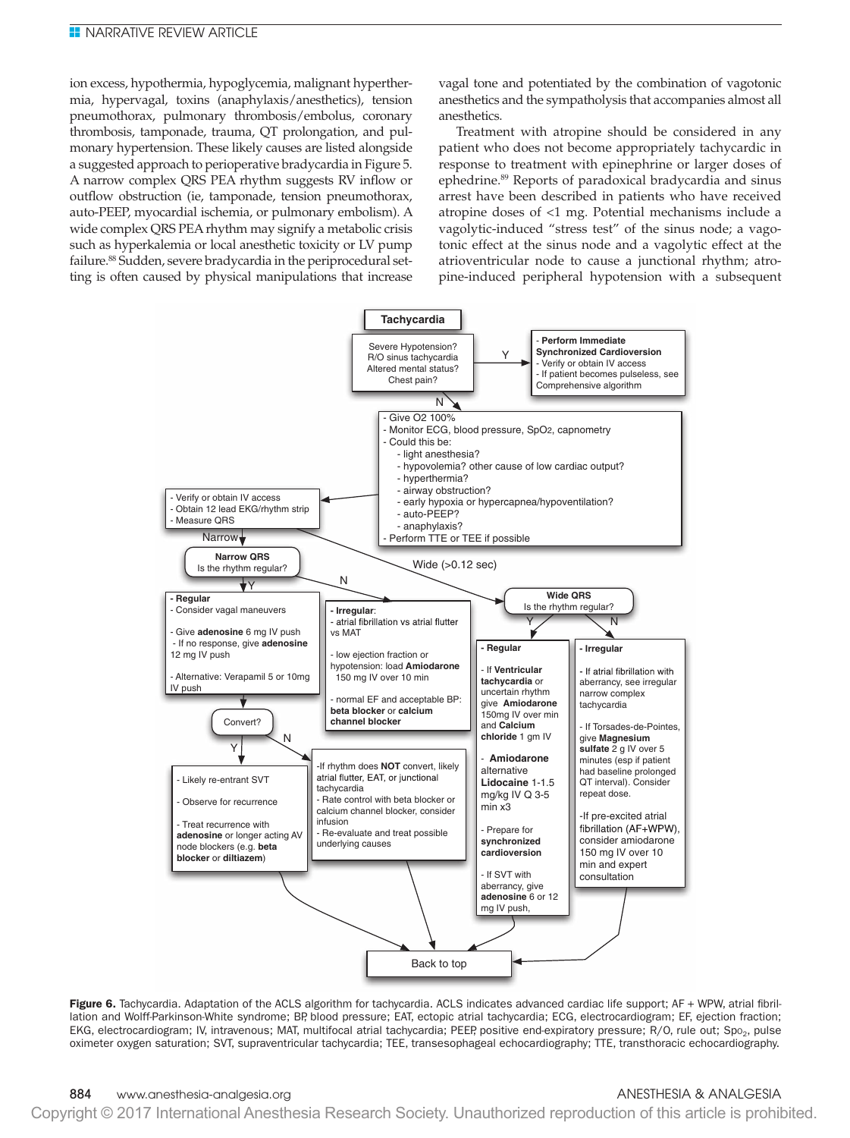ion excess, hypothermia, hypoglycemia, malignant hyperthermia, hypervagal, toxins (anaphylaxis/anesthetics), tension pneumothorax, pulmonary thrombosis/embolus, coronary thrombosis, tamponade, trauma, QT prolongation, and pulmonary hypertension. These likely causes are listed alongside a suggested approach to perioperative bradycardia in Figure 5. A narrow complex QRS PEA rhythm suggests RV inflow or outflow obstruction (ie, tamponade, tension pneumothorax, auto-PEEP, myocardial ischemia, or pulmonary embolism). A wide complex QRS PEA rhythm may signify a metabolic crisis such as hyperkalemia or local anesthetic toxicity or LV pump failure.<sup>88</sup> Sudden, severe bradycardia in the periprocedural setting is often caused by physical manipulations that increase vagal tone and potentiated by the combination of vagotonic anesthetics and the sympatholysis that accompanies almost all anesthetics.

Treatment with atropine should be considered in any patient who does not become appropriately tachycardic in response to treatment with epinephrine or larger doses of ephedrine.<sup>89</sup> Reports of paradoxical bradycardia and sinus arrest have been described in patients who have received atropine doses of <1 mg. Potential mechanisms include a vagolytic-induced "stress test" of the sinus node; a vagotonic effect at the sinus node and a vagolytic effect at the atrioventricular node to cause a junctional rhythm; atropine-induced peripheral hypotension with a subsequent



Figure 6. Tachycardia. Adaptation of the ACLS algorithm for tachycardia. ACLS indicates advanced cardiac life support; AF + WPW, atrial fibrillation and Wolff-Parkinson-White syndrome; BP, blood pressure; EAT, ectopic atrial tachycardia; ECG, electrocardiogram; EF, ejection fraction; EKG, electrocardiogram; IV, intravenous; MAT, multifocal atrial tachycardia; PEEP, positive end-expiratory pressure; R/O, rule out; Spo<sub>2</sub>, pulse oximeter oxygen saturation; SVT, supraventricular tachycardia; TEE, transesophageal echocardiography; TTE, transthoracic echocardiography.

## 884 www.anesthesia-analgesia.org ANESTHESIA & ANALGESIA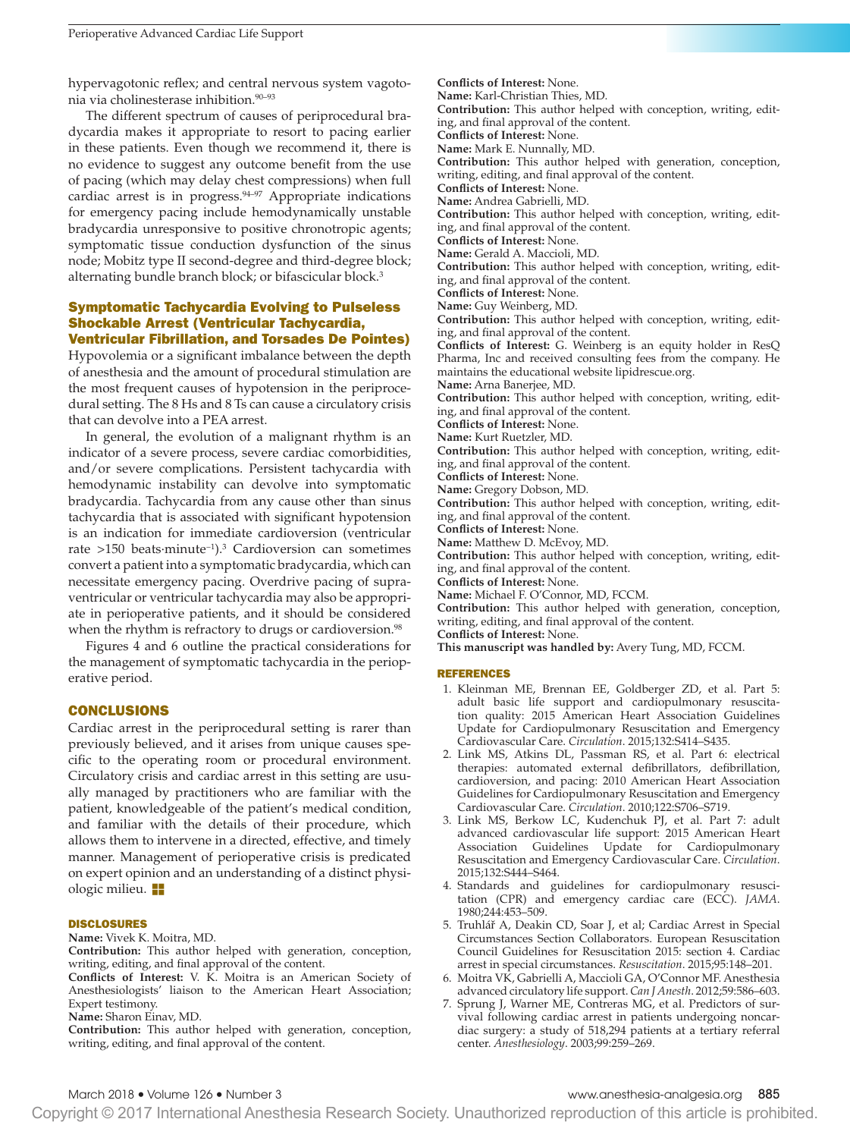hypervagotonic reflex; and central nervous system vagotonia via cholinesterase inhibition.90–93

The different spectrum of causes of periprocedural bradycardia makes it appropriate to resort to pacing earlier in these patients. Even though we recommend it, there is no evidence to suggest any outcome benefit from the use of pacing (which may delay chest compressions) when full cardiac arrest is in progress.94–97 Appropriate indications for emergency pacing include hemodynamically unstable bradycardia unresponsive to positive chronotropic agents; symptomatic tissue conduction dysfunction of the sinus node; Mobitz type II second-degree and third-degree block; alternating bundle branch block; or bifascicular block.<sup>3</sup>

## Symptomatic Tachycardia Evolving to Pulseless Shockable Arrest (Ventricular Tachycardia, Ventricular Fibrillation, and Torsades De Pointes)

Hypovolemia or a significant imbalance between the depth of anesthesia and the amount of procedural stimulation are the most frequent causes of hypotension in the periprocedural setting. The 8 Hs and 8 Ts can cause a circulatory crisis that can devolve into a PEA arrest.

In general, the evolution of a malignant rhythm is an indicator of a severe process, severe cardiac comorbidities, and/or severe complications. Persistent tachycardia with hemodynamic instability can devolve into symptomatic bradycardia. Tachycardia from any cause other than sinus tachycardia that is associated with significant hypotension is an indication for immediate cardioversion (ventricular rate >150 beats·minute−1 ).3 Cardioversion can sometimes convert a patient into a symptomatic bradycardia, which can necessitate emergency pacing. Overdrive pacing of supraventricular or ventricular tachycardia may also be appropriate in perioperative patients, and it should be considered when the rhythm is refractory to drugs or cardioversion.<sup>98</sup>

Figures 4 and 6 outline the practical considerations for the management of symptomatic tachycardia in the perioperative period.

## CONCLUSIONS

Cardiac arrest in the periprocedural setting is rarer than previously believed, and it arises from unique causes specific to the operating room or procedural environment. Circulatory crisis and cardiac arrest in this setting are usually managed by practitioners who are familiar with the patient, knowledgeable of the patient's medical condition, and familiar with the details of their procedure, which allows them to intervene in a directed, effective, and timely manner. Management of perioperative crisis is predicated on expert opinion and an understanding of a distinct physiologic milieu.

### DISCLOSURES

**Name:** Vivek K. Moitra, MD.

**Contribution:** This author helped with generation, conception, writing, editing, and final approval of the content.

**Conflicts of Interest:** V. K. Moitra is an American Society of Anesthesiologists' liaison to the American Heart Association; Expert testimony.

**Name:** Sharon Einav, MD.

**Contribution:** This author helped with generation, conception, writing, editing, and final approval of the content.

**Name:** Karl-Christian Thies, MD. **Contribution:** This author helped with conception, writing, editing, and final approval of the content. **Conflicts of Interest:** None. **Name:** Mark E. Nunnally, MD. **Contribution:** This author helped with generation, conception, writing, editing, and final approval of the content. **Conflicts of Interest:** None. **Name:** Andrea Gabrielli, MD. **Contribution:** This author helped with conception, writing, editing, and final approval of the content. **Conflicts of Interest:** None. **Name:** Gerald A. Maccioli, MD. **Contribution:** This author helped with conception, writing, editing, and final approval of the content. **Conflicts of Interest:** None. **Name:** Guy Weinberg, MD. **Contribution:** This author helped with conception, writing, editing, and final approval of the content. **Conflicts of Interest:** G. Weinberg is an equity holder in ResQ Pharma, Inc and received consulting fees from the company. He maintains the educational website lipidrescue.org. **Name:** Arna Banerjee, MD. **Contribution:** This author helped with conception, writing, editing, and final approval of the content. **Conflicts of Interest:** None. **Name:** Kurt Ruetzler, MD. **Contribution:** This author helped with conception, writing, editing, and final approval of the content. **Conflicts of Interest:** None. **Name:** Gregory Dobson, MD. **Contribution:** This author helped with conception, writing, editing, and final approval of the content. **Conflicts of Interest:** None. **Name:** Matthew D. McEvoy, MD. **Contribution:** This author helped with conception, writing, editing, and final approval of the content. **Conflicts of Interest:** None. **Name:** Michael F. O'Connor, MD, FCCM. **Contribution:** This author helped with generation, conception, writing, editing, and final approval of the content. **Conflicts of Interest:** None. **This manuscript was handled by:** Avery Tung, MD, FCCM.

**Conflicts of Interest:** None.

### REFERENCES

- 1. Kleinman ME, Brennan EE, Goldberger ZD, et al. Part 5: adult basic life support and cardiopulmonary resuscitation quality: 2015 American Heart Association Guidelines Update for Cardiopulmonary Resuscitation and Emergency Cardiovascular Care. *Circulation*. 2015;132:S414–S435.
- 2. Link MS, Atkins DL, Passman RS, et al. Part 6: electrical therapies: automated external defibrillators, defibrillation, cardioversion, and pacing: 2010 American Heart Association Guidelines for Cardiopulmonary Resuscitation and Emergency Cardiovascular Care. *Circulation*. 2010;122:S706–S719.
- 3. Link MS, Berkow LC, Kudenchuk PJ, et al. Part 7: adult advanced cardiovascular life support: 2015 American Heart Association Guidelines Update for Cardiopulmonary Resuscitation and Emergency Cardiovascular Care. *Circulation*. 2015;132:S444–S464.
- 4. Standards and guidelines for cardiopulmonary resuscitation (CPR) and emergency cardiac care (ECC). *JAMA*. 1980;244:453–509.
- 5. Truhlář A, Deakin CD, Soar J, et al; Cardiac Arrest in Special Circumstances Section Collaborators. European Resuscitation Council Guidelines for Resuscitation 2015: section 4. Cardiac arrest in special circumstances. *Resuscitation*. 2015;95:148–201.
- 6. Moitra VK, Gabrielli A, Maccioli GA, O'Connor MF. Anesthesia advanced circulatory life support. *Can J Anesth*. 2012;59:586–603.
- 7. Sprung J, Warner ME, Contreras MG, et al. Predictors of survival following cardiac arrest in patients undergoing noncardiac surgery: a study of 518,294 patients at a tertiary referral center. *Anesthesiology*. 2003;99:259–269.

## March 2018 • Volume 126 • Number 3 www.anesthesia-analgesia.org 885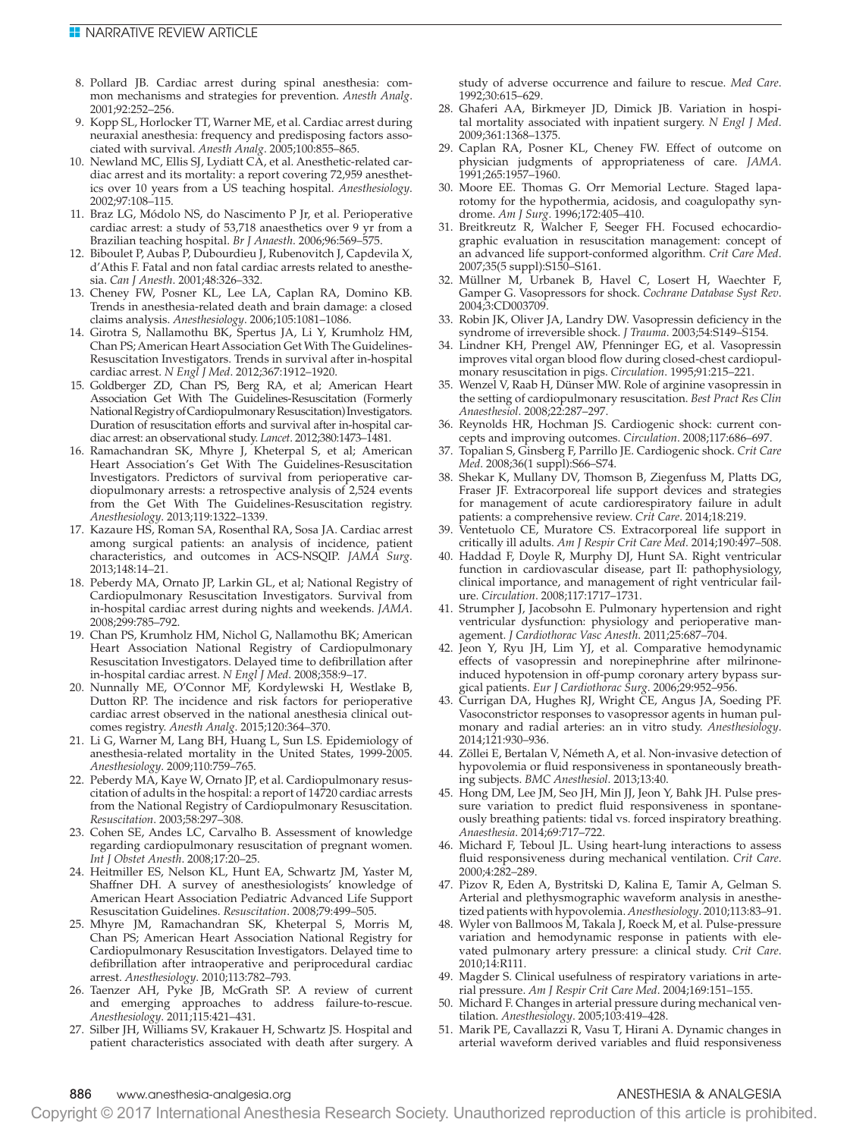- 8. Pollard JB. Cardiac arrest during spinal anesthesia: common mechanisms and strategies for prevention. *Anesth Analg*. 2001;92:252–256.
- 9. Kopp SL, Horlocker TT, Warner ME, et al. Cardiac arrest during neuraxial anesthesia: frequency and predisposing factors associated with survival. *Anesth Analg*. 2005;100:855–865.
- 10. Newland MC, Ellis SJ, Lydiatt CA, et al. Anesthetic-related cardiac arrest and its mortality: a report covering 72,959 anesthetics over 10 years from a US teaching hospital. *Anesthesiology*. 2002;97:108–115.
- 11. Braz LG, Módolo NS, do Nascimento P Jr, et al. Perioperative cardiac arrest: a study of 53,718 anaesthetics over 9 yr from a Brazilian teaching hospital. *Br J Anaesth*. 2006;96:569–575.
- 12. Biboulet P, Aubas P, Dubourdieu J, Rubenovitch J, Capdevila X, d'Athis F. Fatal and non fatal cardiac arrests related to anesthesia. *Can J Anesth*. 2001;48:326–332.
- 13. Cheney FW, Posner KL, Lee LA, Caplan RA, Domino KB. Trends in anesthesia-related death and brain damage: a closed claims analysis. *Anesthesiology*. 2006;105:1081–1086.
- 14. Girotra S, Nallamothu BK, Spertus JA, Li Y, Krumholz HM, Chan PS; American Heart Association Get With The Guidelines-Resuscitation Investigators. Trends in survival after in-hospital cardiac arrest. *N Engl J Med*. 2012;367:1912–1920.
- 15. Goldberger ZD, Chan PS, Berg RA, et al; American Heart Association Get With The Guidelines-Resuscitation (Formerly National Registry of Cardiopulmonary Resuscitation) Investigators. Duration of resuscitation efforts and survival after in-hospital cardiac arrest: an observational study. *Lancet*. 2012;380:1473–1481.
- 16. Ramachandran SK, Mhyre J, Kheterpal S, et al; American Heart Association's Get With The Guidelines-Resuscitation Investigators. Predictors of survival from perioperative cardiopulmonary arrests: a retrospective analysis of 2,524 events from the Get With The Guidelines-Resuscitation registry. *Anesthesiology*. 2013;119:1322–1339.
- 17. Kazaure HS, Roman SA, Rosenthal RA, Sosa JA. Cardiac arrest among surgical patients: an analysis of incidence, patient characteristics, and outcomes in ACS-NSQIP. *JAMA Surg*. 2013;148:14–21.
- 18. Peberdy MA, Ornato JP, Larkin GL, et al; National Registry of Cardiopulmonary Resuscitation Investigators. Survival from in-hospital cardiac arrest during nights and weekends. *JAMA*. 2008;299:785–792.
- 19. Chan PS, Krumholz HM, Nichol G, Nallamothu BK; American Heart Association National Registry of Cardiopulmonary Resuscitation Investigators. Delayed time to defibrillation after in-hospital cardiac arrest. *N Engl J Med*. 2008;358:9–17.
- 20. Nunnally ME, O'Connor MF, Kordylewski H, Westlake B, Dutton RP. The incidence and risk factors for perioperative cardiac arrest observed in the national anesthesia clinical outcomes registry. *Anesth Analg*. 2015;120:364–370.
- 21. Li G, Warner M, Lang BH, Huang L, Sun LS. Epidemiology of anesthesia-related mortality in the United States, 1999-2005. *Anesthesiology*. 2009;110:759–765.
- 22. Peberdy MA, Kaye W, Ornato JP, et al. Cardiopulmonary resuscitation of adults in the hospital: a report of 14720 cardiac arrests from the National Registry of Cardiopulmonary Resuscitation. *Resuscitation*. 2003;58:297–308.
- 23. Cohen SE, Andes LC, Carvalho B. Assessment of knowledge regarding cardiopulmonary resuscitation of pregnant women. *Int J Obstet Anesth*. 2008;17:20–25.
- 24. Heitmiller ES, Nelson KL, Hunt EA, Schwartz JM, Yaster M, Shaffner DH. A survey of anesthesiologists' knowledge of American Heart Association Pediatric Advanced Life Support Resuscitation Guidelines. *Resuscitation*. 2008;79:499–505.
- 25. Mhyre JM, Ramachandran SK, Kheterpal S, Morris M, Chan PS; American Heart Association National Registry for Cardiopulmonary Resuscitation Investigators. Delayed time to defibrillation after intraoperative and periprocedural cardiac arrest. *Anesthesiology*. 2010;113:782–793.
- 26. Taenzer AH, Pyke JB, McGrath SP. A review of current and emerging approaches to address failure-to-rescue. *Anesthesiology*. 2011;115:421–431.
- 27. Silber JH, Williams SV, Krakauer H, Schwartz JS. Hospital and patient characteristics associated with death after surgery. A

study of adverse occurrence and failure to rescue. *Med Care*. 1992;30:615–629.

- 28. Ghaferi AA, Birkmeyer JD, Dimick JB. Variation in hospital mortality associated with inpatient surgery. *N Engl J Med*. 2009;361:1368–1375.
- 29. Caplan RA, Posner KL, Cheney FW. Effect of outcome on physician judgments of appropriateness of care. *JAMA*. 1991;265:1957–1960.
- 30. Moore EE. Thomas G. Orr Memorial Lecture. Staged laparotomy for the hypothermia, acidosis, and coagulopathy syndrome. *Am J Surg*. 1996;172:405–410.
- 31. Breitkreutz R, Walcher F, Seeger FH. Focused echocardiographic evaluation in resuscitation management: concept of an advanced life support-conformed algorithm. *Crit Care Med*. 2007;35(5 suppl):S150–S161.
- 32. Müllner M, Urbanek B, Havel C, Losert H, Waechter F, Gamper G. Vasopressors for shock. *Cochrane Database Syst Rev*. 2004;3:CD003709.
- 33. Robin JK, Oliver JA, Landry DW. Vasopressin deficiency in the syndrome of irreversible shock. *J Trauma*. 2003;54:S149–S154.
- 34. Lindner KH, Prengel AW, Pfenninger EG, et al. Vasopressin improves vital organ blood flow during closed-chest cardiopulmonary resuscitation in pigs. *Circulation*. 1995;91:215–221.
- 35. Wenzel V, Raab H, Dünser MW. Role of arginine vasopressin in the setting of cardiopulmonary resuscitation. *Best Pract Res Clin Anaesthesiol*. 2008;22:287–297.
- 36. Reynolds HR, Hochman JS. Cardiogenic shock: current concepts and improving outcomes. *Circulation*. 2008;117:686–697.
- 37. Topalian S, Ginsberg F, Parrillo JE. Cardiogenic shock. *Crit Care Med*. 2008;36(1 suppl):S66–S74.
- 38. Shekar K, Mullany DV, Thomson B, Ziegenfuss M, Platts DG, Fraser JF. Extracorporeal life support devices and strategies for management of acute cardiorespiratory failure in adult patients: a comprehensive review. *Crit Care*. 2014;18:219.
- 39. Ventetuolo CE, Muratore CS. Extracorporeal life support in critically ill adults. *Am J Respir Crit Care Med*. 2014;190:497–508.
- 40. Haddad F, Doyle R, Murphy DJ, Hunt SA. Right ventricular function in cardiovascular disease, part II: pathophysiology, clinical importance, and management of right ventricular failure. *Circulation*. 2008;117:1717–1731.
- 41. Strumpher J, Jacobsohn E. Pulmonary hypertension and right ventricular dysfunction: physiology and perioperative management. *J Cardiothorac Vasc Anesth*. 2011;25:687–704.
- 42. Jeon Y, Ryu JH, Lim YJ, et al. Comparative hemodynamic effects of vasopressin and norepinephrine after milrinoneinduced hypotension in off-pump coronary artery bypass surgical patients. *Eur J Cardiothorac Surg*. 2006;29:952–956.
- 43. Currigan DA, Hughes RJ, Wright CE, Angus JA, Soeding PF. Vasoconstrictor responses to vasopressor agents in human pulmonary and radial arteries: an in vitro study. *Anesthesiology*. 2014;121:930–936.
- 44. Zöllei E, Bertalan V, Németh A, et al. Non-invasive detection of hypovolemia or fluid responsiveness in spontaneously breathing subjects. *BMC Anesthesiol*. 2013;13:40.
- 45. Hong DM, Lee JM, Seo JH, Min JJ, Jeon Y, Bahk JH. Pulse pressure variation to predict fluid responsiveness in spontaneously breathing patients: tidal vs. forced inspiratory breathing. *Anaesthesia*. 2014;69:717–722.
- 46. Michard F, Teboul JL. Using heart-lung interactions to assess fluid responsiveness during mechanical ventilation. *Crit Care*. 2000;4:282–289.
- 47. Pizov R, Eden A, Bystritski D, Kalina E, Tamir A, Gelman S. Arterial and plethysmographic waveform analysis in anesthetized patients with hypovolemia. *Anesthesiology*. 2010;113:83–91.
- 48. Wyler von Ballmoos M, Takala J, Roeck M, et al. Pulse-pressure variation and hemodynamic response in patients with elevated pulmonary artery pressure: a clinical study. *Crit Care*. 2010;14:R111.
- 49. Magder S. Clinical usefulness of respiratory variations in arterial pressure. *Am J Respir Crit Care Med*. 2004;169:151–155.
- 50. Michard F. Changes in arterial pressure during mechanical ventilation. *Anesthesiology*. 2005;103:419–428.
- 51. Marik PE, Cavallazzi R, Vasu T, Hirani A. Dynamic changes in arterial waveform derived variables and fluid responsiveness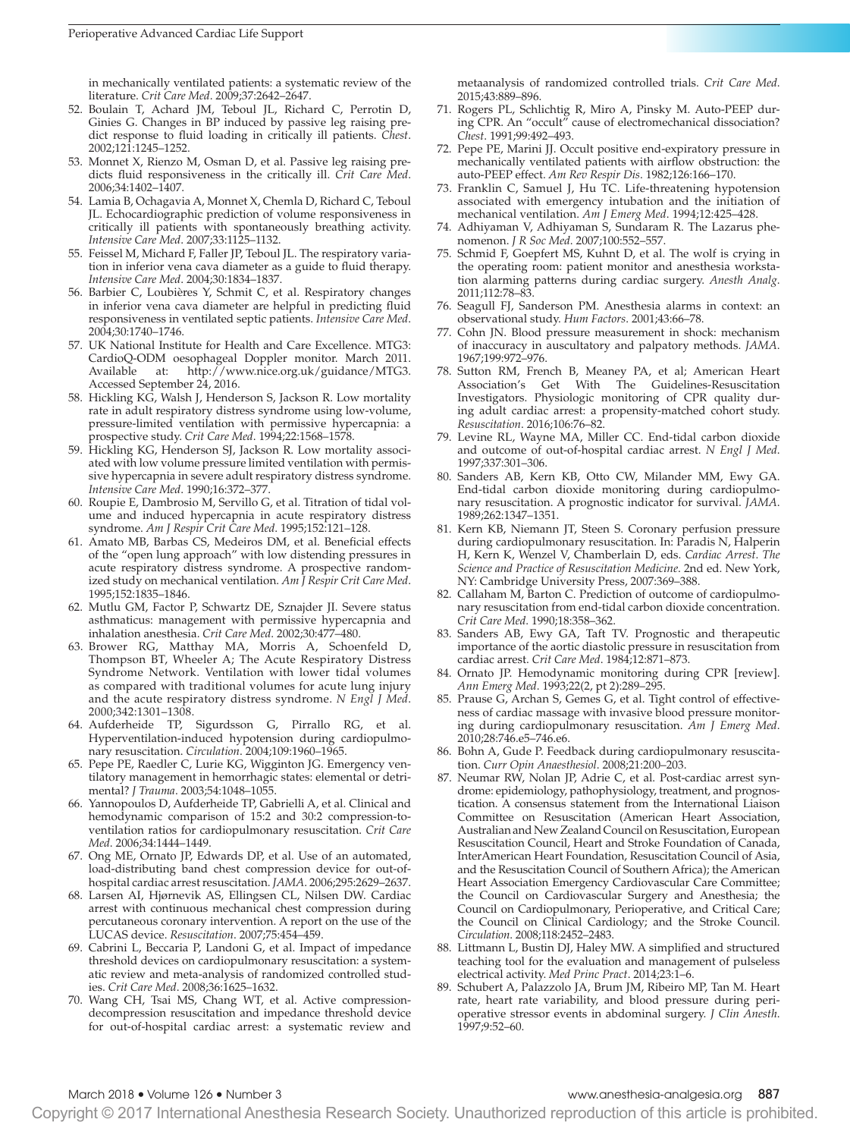in mechanically ventilated patients: a systematic review of the literature. *Crit Care Med*. 2009;37:2642–2647.

- 52. Boulain T, Achard JM, Teboul JL, Richard C, Perrotin D, Ginies G. Changes in BP induced by passive leg raising predict response to fluid loading in critically ill patients. *Chest*. 2002;121:1245–1252.
- 53. Monnet X, Rienzo M, Osman D, et al. Passive leg raising predicts fluid responsiveness in the critically ill. *Crit Care Med*. 2006;34:1402–1407.
- 54. Lamia B, Ochagavia A, Monnet X, Chemla D, Richard C, Teboul JL. Echocardiographic prediction of volume responsiveness in critically ill patients with spontaneously breathing activity. *Intensive Care Med*. 2007;33:1125–1132.
- 55. Feissel M, Michard F, Faller JP, Teboul JL. The respiratory variation in inferior vena cava diameter as a guide to fluid therapy. *Intensive Care Med*. 2004;30:1834–1837.
- 56. Barbier C, Loubières Y, Schmit C, et al. Respiratory changes in inferior vena cava diameter are helpful in predicting fluid responsiveness in ventilated septic patients. *Intensive Care Med*. 2004;30:1740–1746.
- 57. UK National Institute for Health and Care Excellence. MTG3: CardioQ-ODM oesophageal Doppler monitor. March 2011. Available at: <http://www.nice.org.uk/guidance/MTG3>. Accessed September 24, 2016.
- 58. Hickling KG, Walsh J, Henderson S, Jackson R. Low mortality rate in adult respiratory distress syndrome using low-volume, pressure-limited ventilation with permissive hypercapnia: a prospective study. *Crit Care Med*. 1994;22:1568–1578.
- 59. Hickling KG, Henderson SJ, Jackson R. Low mortality associated with low volume pressure limited ventilation with permissive hypercapnia in severe adult respiratory distress syndrome. *Intensive Care Med*. 1990;16:372–377.
- 60. Roupie E, Dambrosio M, Servillo G, et al. Titration of tidal volume and induced hypercapnia in acute respiratory distress syndrome. *Am J Respir Crit Care Med*. 1995;152:121–128.
- 61. Amato MB, Barbas CS, Medeiros DM, et al. Beneficial effects of the "open lung approach" with low distending pressures in acute respiratory distress syndrome. A prospective randomized study on mechanical ventilation. *Am J Respir Crit Care Med*. 1995;152:1835–1846.
- 62. Mutlu GM, Factor P, Schwartz DE, Sznajder JI. Severe status asthmaticus: management with permissive hypercapnia and inhalation anesthesia. *Crit Care Med*. 2002;30:477–480.
- 63. Brower RG, Matthay MA, Morris A, Schoenfeld D, Thompson BT, Wheeler A; The Acute Respiratory Distress Syndrome Network. Ventilation with lower tidal volumes as compared with traditional volumes for acute lung injury and the acute respiratory distress syndrome. *N Engl J Med*. 2000;342:1301–1308.
- 64. Aufderheide TP, Sigurdsson G, Pirrallo RG, et al. Hyperventilation-induced hypotension during cardiopulmonary resuscitation. *Circulation*. 2004;109:1960–1965.
- 65. Pepe PE, Raedler C, Lurie KG, Wigginton JG. Emergency ventilatory management in hemorrhagic states: elemental or detrimental? *J Trauma*. 2003;54:1048–1055.
- 66. Yannopoulos D, Aufderheide TP, Gabrielli A, et al. Clinical and hemodynamic comparison of 15:2 and 30:2 compression-toventilation ratios for cardiopulmonary resuscitation. *Crit Care Med*. 2006;34:1444–1449.
- 67. Ong ME, Ornato JP, Edwards DP, et al. Use of an automated, load-distributing band chest compression device for out-ofhospital cardiac arrest resuscitation. *JAMA*. 2006;295:2629–2637.
- 68. Larsen AI, Hjørnevik AS, Ellingsen CL, Nilsen DW. Cardiac arrest with continuous mechanical chest compression during percutaneous coronary intervention. A report on the use of the LUCAS device. *Resuscitation*. 2007;75:454–459.
- 69. Cabrini L, Beccaria P, Landoni G, et al. Impact of impedance threshold devices on cardiopulmonary resuscitation: a systematic review and meta-analysis of randomized controlled studies. *Crit Care Med*. 2008;36:1625–1632.
- 70. Wang CH, Tsai MS, Chang WT, et al. Active compressiondecompression resuscitation and impedance threshold device for out-of-hospital cardiac arrest: a systematic review and

metaanalysis of randomized controlled trials. *Crit Care Med*. 2015;43:889–896.

- 71. Rogers PL, Schlichtig R, Miro A, Pinsky M. Auto-PEEP during CPR. An "occult" cause of electromechanical dissociation? *Chest*. 1991;99:492–493.
- 72. Pepe PE, Marini JJ. Occult positive end-expiratory pressure in mechanically ventilated patients with airflow obstruction: the auto-PEEP effect. *Am Rev Respir Dis*. 1982;126:166–170.
- 73. Franklin C, Samuel J, Hu TC. Life-threatening hypotension associated with emergency intubation and the initiation of mechanical ventilation. *Am J Emerg Med*. 1994;12:425–428.
- 74. Adhiyaman V, Adhiyaman S, Sundaram R. The Lazarus phenomenon. *J R Soc Med*. 2007;100:552–557.
- 75. Schmid F, Goepfert MS, Kuhnt D, et al. The wolf is crying in the operating room: patient monitor and anesthesia workstation alarming patterns during cardiac surgery. *Anesth Analg*. 2011;112:78–83.
- 76. Seagull FJ, Sanderson PM. Anesthesia alarms in context: an observational study. *Hum Factors*. 2001;43:66–78.
- 77. Cohn JN. Blood pressure measurement in shock: mechanism of inaccuracy in auscultatory and palpatory methods. *JAMA*. 1967;199:972–976.
- 78. Sutton RM, French B, Meaney PA, et al; American Heart Association's Get With The Guidelines-Resuscitation Investigators. Physiologic monitoring of CPR quality during adult cardiac arrest: a propensity-matched cohort study. *Resuscitation*. 2016;106:76–82.
- 79. Levine RL, Wayne MA, Miller CC. End-tidal carbon dioxide and outcome of out-of-hospital cardiac arrest. *N Engl J Med*. 1997;337:301–306.
- 80. Sanders AB, Kern KB, Otto CW, Milander MM, Ewy GA. End-tidal carbon dioxide monitoring during cardiopulmonary resuscitation. A prognostic indicator for survival. *JAMA*. 1989;262:1347–1351.
- 81. Kern KB, Niemann JT, Steen S. Coronary perfusion pressure during cardiopulmonary resuscitation. In: Paradis N, Halperin H, Kern K, Wenzel V, Chamberlain D, eds. *Cardiac Arrest*. *The Science and Practice of Resuscitation Medicine*. 2nd ed. New York, NY: Cambridge University Press, 2007:369–388.
- 82. Callaham M, Barton C. Prediction of outcome of cardiopulmonary resuscitation from end-tidal carbon dioxide concentration. *Crit Care Med*. 1990;18:358–362.
- 83. Sanders AB, Ewy GA, Taft TV. Prognostic and therapeutic importance of the aortic diastolic pressure in resuscitation from cardiac arrest. *Crit Care Med*. 1984;12:871–873.
- 84. Ornato JP. Hemodynamic monitoring during CPR [review]. *Ann Emerg Med*. 1993;22(2, pt 2):289–295.
- 85. Prause G, Archan S, Gemes G, et al. Tight control of effectiveness of cardiac massage with invasive blood pressure monitoring during cardiopulmonary resuscitation. *Am J Emerg Med*. 2010;28:746.e5–746.e6.
- 86. Bohn A, Gude P. Feedback during cardiopulmonary resuscitation. *Curr Opin Anaesthesiol*. 2008;21:200–203.
- 87. Neumar RW, Nolan JP, Adrie C, et al. Post-cardiac arrest syndrome: epidemiology, pathophysiology, treatment, and prognostication. A consensus statement from the International Liaison Committee on Resuscitation (American Heart Association, Australian and New Zealand Council on Resuscitation, European Resuscitation Council, Heart and Stroke Foundation of Canada, InterAmerican Heart Foundation, Resuscitation Council of Asia, and the Resuscitation Council of Southern Africa); the American Heart Association Emergency Cardiovascular Care Committee; the Council on Cardiovascular Surgery and Anesthesia; the Council on Cardiopulmonary, Perioperative, and Critical Care; the Council on Clinical Cardiology; and the Stroke Council. *Circulation*. 2008;118:2452–2483.
- 88. Littmann L, Bustin DJ, Haley MW. A simplified and structured teaching tool for the evaluation and management of pulseless electrical activity. *Med Princ Pract*. 2014;23:1–6.
- 89. Schubert A, Palazzolo JA, Brum JM, Ribeiro MP, Tan M. Heart rate, heart rate variability, and blood pressure during perioperative stressor events in abdominal surgery. *J Clin Anesth*. 1997;9:52–60.

### March 2018 • Volume 126 • Number 3 www.anesthesia-analgesia.org 887